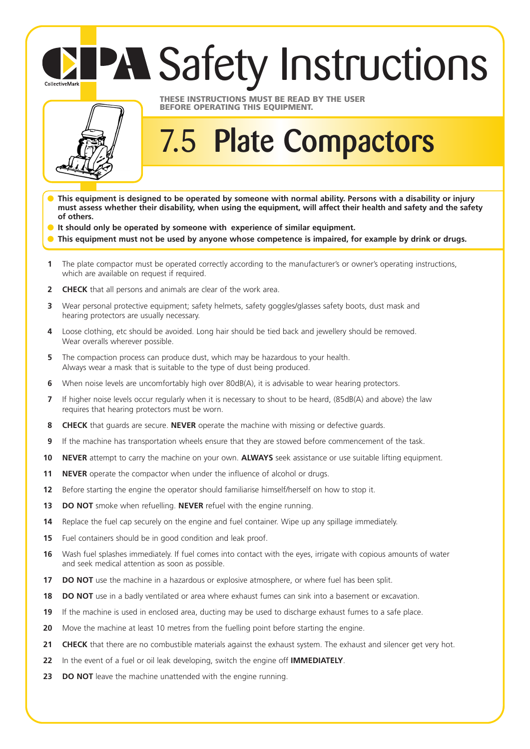## **PA Safety Instructions**



CollectiveMark

## **THESE INSTRUCTIONS MUST BE READ BY THE USER BEFORE OPERATING THIS EQUIPMENT.**

## 7.5 **Plate Compactors**

- **This equipment is designed to be operated by someone with normal ability. Persons with a disability or injury must assess whether their disability, when using the equipment, will affect their health and safety and the safety of others.**
- **It should only be operated by someone with experience of similar equipment.**
- This equipment must not be used by anyone whose competence is impaired, for example by drink or drugs.
- **1** The plate compactor must be operated correctly according to the manufacturer's or owner's operating instructions, which are available on request if required.
- **2 CHECK** that all persons and animals are clear of the work area.
- **3** Wear personal protective equipment; safety helmets, safety goggles/glasses safety boots, dust mask and hearing protectors are usually necessary.
- **4** Loose clothing, etc should be avoided. Long hair should be tied back and jewellery should be removed. Wear overalls wherever possible.
- **5** The compaction process can produce dust, which may be hazardous to your health. Always wear a mask that is suitable to the type of dust being produced.
- **6** When noise levels are uncomfortably high over 80dB(A), it is advisable to wear hearing protectors.
- **7** If higher noise levels occur regularly when it is necessary to shout to be heard, (85dB(A) and above) the law requires that hearing protectors must be worn.
- **8 CHECK** that guards are secure. **NEVER** operate the machine with missing or defective guards.
- **9** If the machine has transportation wheels ensure that they are stowed before commencement of the task.
- **10 NEVER** attempt to carry the machine on your own. **ALWAYS** seek assistance or use suitable lifting equipment.
- **11 NEVER** operate the compactor when under the influence of alcohol or drugs.
- **12** Before starting the engine the operator should familiarise himself/herself on how to stop it.
- 13 **DO NOT** smoke when refuelling. **NEVER** refuel with the engine running.
- **14** Replace the fuel cap securely on the engine and fuel container. Wipe up any spillage immediately.
- **15** Fuel containers should be in good condition and leak proof.
- **16** Wash fuel splashes immediately. If fuel comes into contact with the eyes, irrigate with copious amounts of water and seek medical attention as soon as possible.
- **17 DO NOT** use the machine in a hazardous or explosive atmosphere, or where fuel has been split.
- **18 DO NOT** use in a badly ventilated or area where exhaust fumes can sink into a basement or excavation.
- **19** If the machine is used in enclosed area, ducting may be used to discharge exhaust fumes to a safe place.
- **20** Move the machine at least 10 metres from the fuelling point before starting the engine.
- 21 CHECK that there are no combustible materials against the exhaust system. The exhaust and silencer get very hot.
- **22** In the event of a fuel or oil leak developing, switch the engine off **IMMEDIATELY**.
- **23 DO NOT** leave the machine unattended with the engine running.